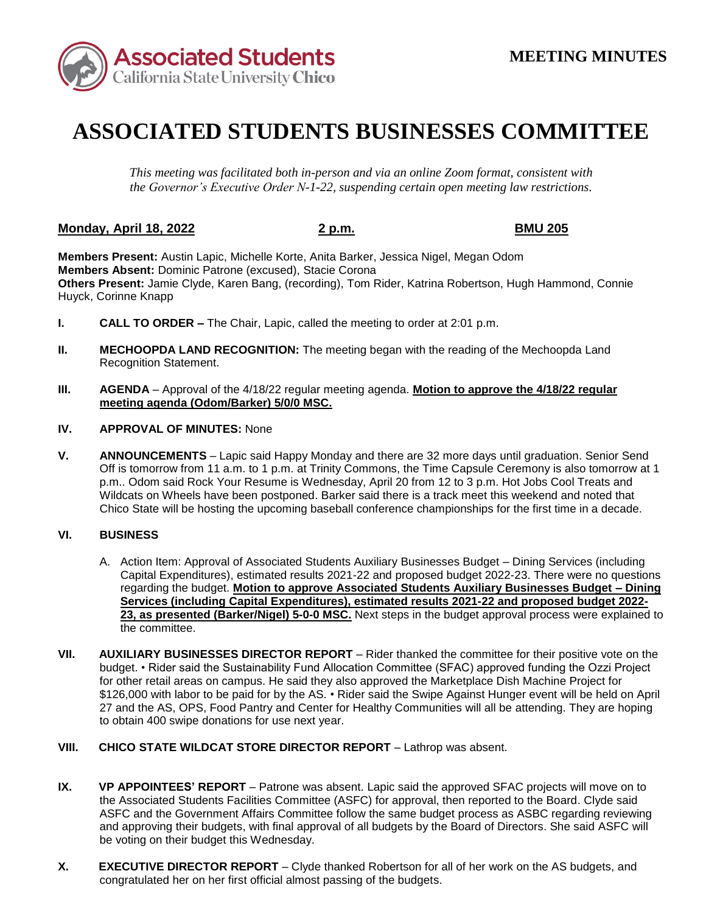

## **ASSOCIATED STUDENTS BUSINESSES COMMITTEE**

*This meeting was facilitated both in-person and via an online Zoom format, consistent with the Governor's Executive Order N-1-22, suspending certain open meeting law restrictions.* 

## **Monday, April 18, 2022 2 p.m. BMU 205**

**Members Present:** Austin Lapic, Michelle Korte, Anita Barker, Jessica Nigel, Megan Odom **Members Absent:** Dominic Patrone (excused), Stacie Corona **Others Present:** Jamie Clyde, Karen Bang, (recording), Tom Rider, Katrina Robertson, Hugh Hammond, Connie Huyck, Corinne Knapp

- **I. CALL TO ORDER –** The Chair, Lapic, called the meeting to order at 2:01 p.m.
- **II. MECHOOPDA LAND RECOGNITION:** The meeting began with the reading of the Mechoopda Land Recognition Statement.
- **III. AGENDA**  Approval of the 4/18/22 regular meeting agenda. **Motion to approve the 4/18/22 regular meeting agenda (Odom/Barker) 5/0/0 MSC.**
- **IV. APPROVAL OF MINUTES:** None
- Wildcats on Wheels have been postponed. Barker said there is a track meet this weekend and noted that **V. ANNOUNCEMENTS** – Lapic said Happy Monday and there are 32 more days until graduation. Senior Send Off is tomorrow from 11 a.m. to 1 p.m. at Trinity Commons, the Time Capsule Ceremony is also tomorrow at 1 p.m.. Odom said Rock Your Resume is Wednesday, April 20 from 12 to 3 p.m. Hot Jobs Cool Treats and Chico State will be hosting the upcoming baseball conference championships for the first time in a decade.

## **VI. BUSINESS**

- Capital Expenditures), estimated results 2021-22 and proposed budget 2022-23. There were no questions A. Action Item: Approval of Associated Students Auxiliary Businesses Budget – Dining Services (including regarding the budget. **Motion to approve Associated Students Auxiliary Businesses Budget – Dining Services (including Capital Expenditures), estimated results 2021-22 and proposed budget 2022- 23, as presented (Barker/Nigel) 5-0-0 MSC.** Next steps in the budget approval process were explained to the committee.
- budget. Rider said the Sustainability Fund Allocation Committee (SFAC) approved funding the Ozzi Project 27 and the AS, OPS, Food Pantry and Center for Healthy Communities will all be attending. They are hoping **VII. AUXILIARY BUSINESSES DIRECTOR REPORT** – Rider thanked the committee for their positive vote on the for other retail areas on campus. He said they also approved the Marketplace Dish Machine Project for \$126,000 with labor to be paid for by the AS. • Rider said the Swipe Against Hunger event will be held on April to obtain 400 swipe donations for use next year.
- **VIII. CHICO STATE WILDCAT STORE DIRECTOR REPORT** Lathrop was absent.
- and approving their budgets, with final approval of all budgets by the Board of Directors. She said ASFC will be voting on their budget this Wednesday. **IX. VP APPOINTEES' REPORT** – Patrone was absent. Lapic said the approved SFAC projects will move on to the Associated Students Facilities Committee (ASFC) for approval, then reported to the Board. Clyde said ASFC and the Government Affairs Committee follow the same budget process as ASBC regarding reviewing
- **X.** EXECUTIVE DIRECTOR REPORT Clyde thanked Robertson for all of her work on the AS budgets, and congratulated her on her first official almost passing of the budgets.